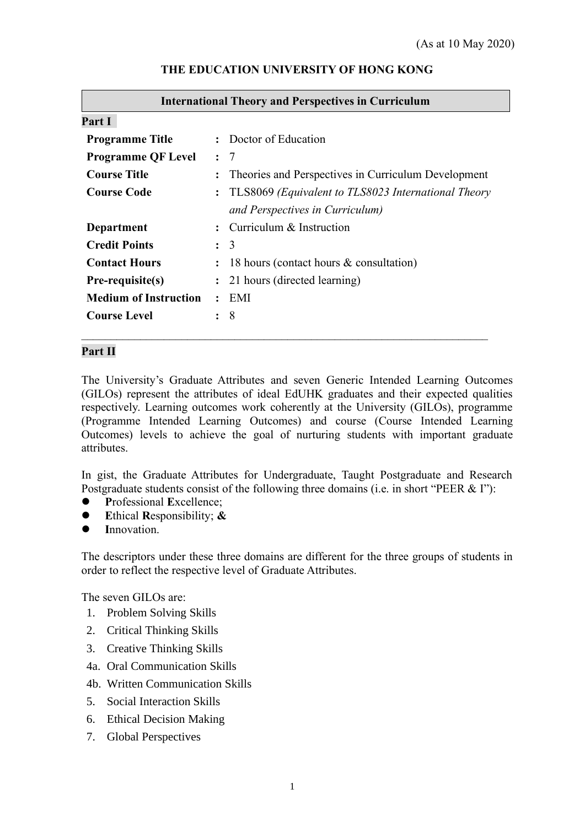| <b>International Theory and Perspectives in Curriculum</b> |                |                                                     |  |  |
|------------------------------------------------------------|----------------|-----------------------------------------------------|--|--|
| Part I                                                     |                |                                                     |  |  |
| <b>Programme Title</b>                                     |                | : Doctor of Education                               |  |  |
| <b>Programme QF Level</b>                                  |                | $\colon$ 7                                          |  |  |
| <b>Course Title</b>                                        | $\ddot{\cdot}$ | Theories and Perspectives in Curriculum Development |  |  |
| <b>Course Code</b>                                         | $\ddot{\cdot}$ | TLS8069 (Equivalent to TLS8023 International Theory |  |  |
|                                                            |                | and Perspectives in Curriculum)                     |  |  |
| Department                                                 |                | $\therefore$ Curriculum & Instruction               |  |  |
| <b>Credit Points</b>                                       |                | $\colon$ 3                                          |  |  |
| <b>Contact Hours</b>                                       |                | 18 hours (contact hours & consultation)             |  |  |
| Pre-requisite(s)                                           |                | : 21 hours (directed learning)                      |  |  |
| <b>Medium of Instruction</b>                               | $\ddot{\cdot}$ | EMI                                                 |  |  |
| <b>Course Level</b>                                        | ٠              | 8                                                   |  |  |
|                                                            |                |                                                     |  |  |

#### **THE EDUCATION UNIVERSITY OF HONG KONG**

#### **Part II**

The University's Graduate Attributes and seven Generic Intended Learning Outcomes (GILOs) represent the attributes of ideal EdUHK graduates and their expected qualities respectively. Learning outcomes work coherently at the University (GILOs), programme (Programme Intended Learning Outcomes) and course (Course Intended Learning Outcomes) levels to achieve the goal of nurturing students with important graduate attributes.

In gist, the Graduate Attributes for Undergraduate, Taught Postgraduate and Research Postgraduate students consist of the following three domains (i.e. in short "PEER & I"):

- ⚫ **P**rofessional **E**xcellence;
- ⚫ **E**thical **R**esponsibility; **&**
- Innovation.

The descriptors under these three domains are different for the three groups of students in order to reflect the respective level of Graduate Attributes.

The seven GILOs are:

- 1. Problem Solving Skills
- 2. Critical Thinking Skills
- 3. Creative Thinking Skills
- 4a. Oral Communication Skills
- 4b. Written Communication Skills
- 5. Social Interaction Skills
- 6. Ethical Decision Making
- 7. Global Perspectives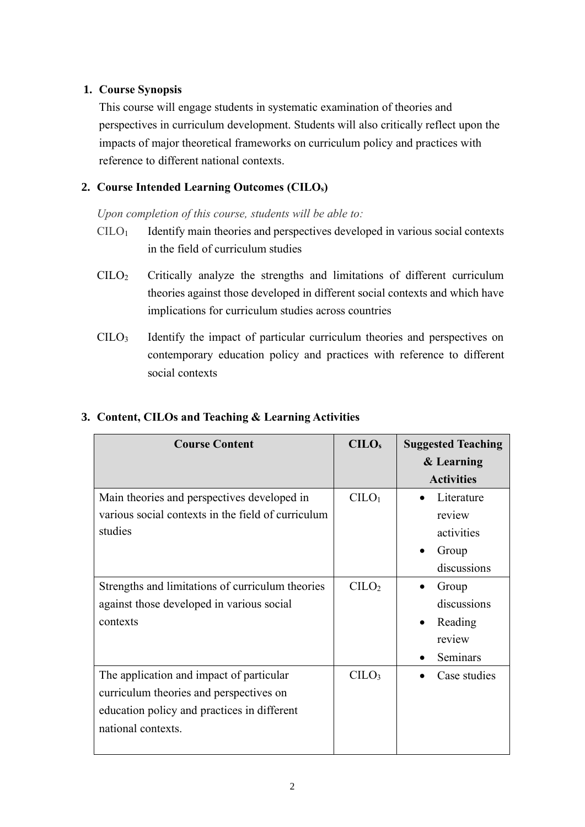## **1. Course Synopsis**

This course will engage students in systematic examination of theories and perspectives in curriculum development. Students will also critically reflect upon the impacts of major theoretical frameworks on curriculum policy and practices with reference to different national contexts.

## **2. Course Intended Learning Outcomes (CILOs)**

*Upon completion of this course, students will be able to:*

- $CILO<sub>1</sub>$  Identify main theories and perspectives developed in various social contexts in the field of curriculum studies
- CILO<sup>2</sup> Critically analyze the strengths and limitations of different curriculum theories against those developed in different social contexts and which have implications for curriculum studies across countries
- CILO<sup>3</sup> Identify the impact of particular curriculum theories and perspectives on contemporary education policy and practices with reference to different social contexts

| <b>Course Content</b>                              | CLLO <sub>s</sub>              | <b>Suggested Teaching</b> |
|----------------------------------------------------|--------------------------------|---------------------------|
|                                                    |                                | & Learning                |
|                                                    |                                | <b>Activities</b>         |
| Main theories and perspectives developed in        | C <sub>1</sub> O <sub>1</sub>  | Literature                |
| various social contexts in the field of curriculum |                                | review                    |
| studies                                            |                                | activities                |
|                                                    |                                | Group                     |
|                                                    |                                | discussions               |
| Strengths and limitations of curriculum theories   | C <sub>1</sub> CO <sub>2</sub> | Group                     |
| against those developed in various social          |                                | discussions               |
| contexts                                           |                                | Reading<br>$\bullet$      |
|                                                    |                                | review                    |
|                                                    |                                | Seminars                  |
| The application and impact of particular           | C <sub>1</sub> CO <sub>3</sub> | Case studies              |
| curriculum theories and perspectives on            |                                |                           |
| education policy and practices in different        |                                |                           |
| national contexts.                                 |                                |                           |
|                                                    |                                |                           |

# **3. Content, CILOs and Teaching & Learning Activities**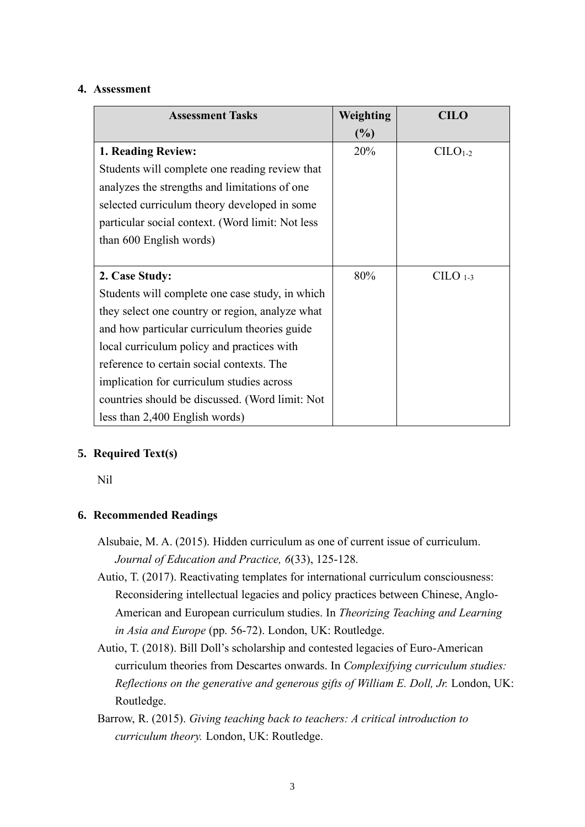#### **4. Assessment**

| <b>Assessment Tasks</b>                          | Weighting | <b>CILO</b> |
|--------------------------------------------------|-----------|-------------|
|                                                  | $(\%)$    |             |
| 1. Reading Review:                               | 20%       | $CILO1-2$   |
| Students will complete one reading review that   |           |             |
| analyzes the strengths and limitations of one    |           |             |
| selected curriculum theory developed in some     |           |             |
| particular social context. (Word limit: Not less |           |             |
| than 600 English words)                          |           |             |
|                                                  |           |             |
| 2. Case Study:                                   | 80%       | $C1-3$      |
| Students will complete one case study, in which  |           |             |
| they select one country or region, analyze what  |           |             |
| and how particular curriculum theories guide     |           |             |
| local curriculum policy and practices with       |           |             |
| reference to certain social contexts. The        |           |             |
| implication for curriculum studies across        |           |             |
| countries should be discussed. (Word limit: Not  |           |             |
| less than 2,400 English words)                   |           |             |

## **5. Required Text(s)**

Nil

### **6. Recommended Readings**

Alsubaie, M. A. (2015). Hidden curriculum as one of current issue of curriculum. *Journal of Education and Practice, 6*(33), 125-128.

- Autio, T. (2017). Reactivating templates for international curriculum consciousness: Reconsidering intellectual legacies and policy practices between Chinese, Anglo-American and European curriculum studies. In *Theorizing Teaching and Learning in Asia and Europe* (pp. 56-72). London, UK: Routledge.
- Autio, T. (2018). Bill Doll's scholarship and contested legacies of Euro-American curriculum theories from Descartes onwards. In *Complexifying curriculum studies: Reflections on the generative and generous gifts of William E. Doll, Jr.* London, UK: Routledge.
- Barrow, R. (2015). *Giving teaching back to teachers: A critical introduction to curriculum theory.* London, UK: Routledge.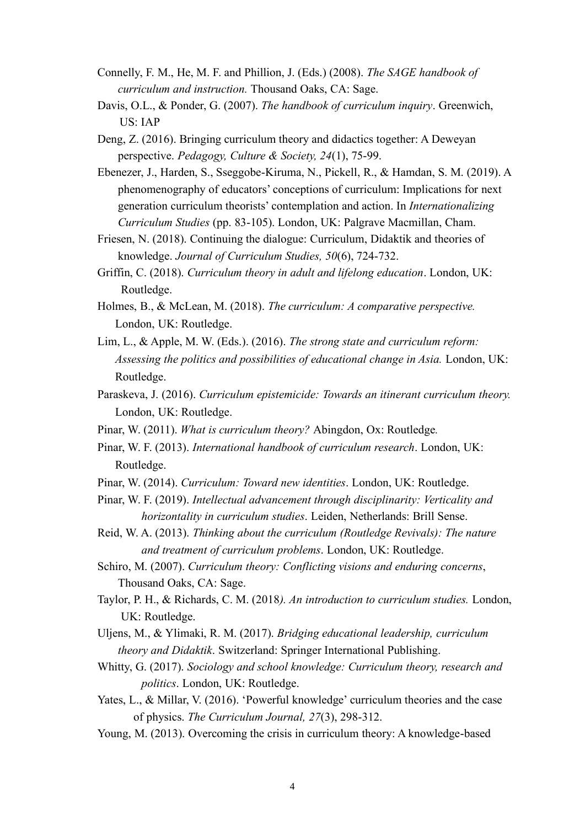- Connelly, F. M., He, M. F. and Phillion, J. (Eds.) (2008). *The SAGE handbook of curriculum and instruction.* Thousand Oaks, CA: Sage.
- Davis, O.L., & Ponder, G. (2007). *The handbook of curriculum inquiry*. Greenwich, US: IAP
- Deng, Z. (2016). Bringing curriculum theory and didactics together: A Deweyan perspective. *Pedagogy, Culture & Society, 24*(1), 75-99.
- Ebenezer, J., Harden, S., Sseggobe-Kiruma, N., Pickell, R., & Hamdan, S. M. (2019). A phenomenography of educators' conceptions of curriculum: Implications for next generation curriculum theorists' contemplation and action. In *Internationalizing Curriculum Studies* (pp. 83-105). London, UK: Palgrave Macmillan, Cham.
- Friesen, N. (2018). Continuing the dialogue: Curriculum, Didaktik and theories of knowledge. *Journal of Curriculum Studies, 50*(6), 724-732.
- Griffin, C. (2018). *Curriculum theory in adult and lifelong education*. London, UK: Routledge.
- Holmes, B., & McLean, M. (2018). *The curriculum: A comparative perspective.* London, UK: Routledge.
- Lim, L., & Apple, M. W. (Eds.). (2016). *The strong state and curriculum reform: Assessing the politics and possibilities of educational change in Asia.* London, UK: Routledge.
- Paraskeva, J. (2016). *Curriculum epistemicide: Towards an itinerant curriculum theory.* London, UK: Routledge.
- Pinar, W. (2011). *What is curriculum theory?* Abingdon, Ox: Routledge*.*
- Pinar, W. F. (2013). *International handbook of curriculum research*. London, UK: Routledge.
- Pinar, W. (2014). *Curriculum: Toward new identities*. London, UK: Routledge.
- Pinar, W. F. (2019). *Intellectual advancement through disciplinarity: Verticality and horizontality in curriculum studies*. Leiden, Netherlands: Brill Sense.
- Reid, W. A. (2013). *Thinking about the curriculum (Routledge Revivals): The nature and treatment of curriculum problems*. London, UK: Routledge.
- Schiro, M. (2007). *Curriculum theory: Conflicting visions and enduring concerns*, Thousand Oaks, CA: Sage.
- Taylor, P. H., & Richards, C. M. (2018*). An introduction to curriculum studies.* London, UK: Routledge.
- Uljens, M., & Ylimaki, R. M. (2017). *Bridging educational leadership, curriculum theory and Didaktik*. Switzerland: Springer International Publishing.
- Whitty, G. (2017). *Sociology and school knowledge: Curriculum theory, research and politics*. London, UK: Routledge.
- Yates, L., & Millar, V. (2016). 'Powerful knowledge' curriculum theories and the case of physics. *The Curriculum Journal, 27*(3), 298-312.
- Young, M. (2013). Overcoming the crisis in curriculum theory: A knowledge-based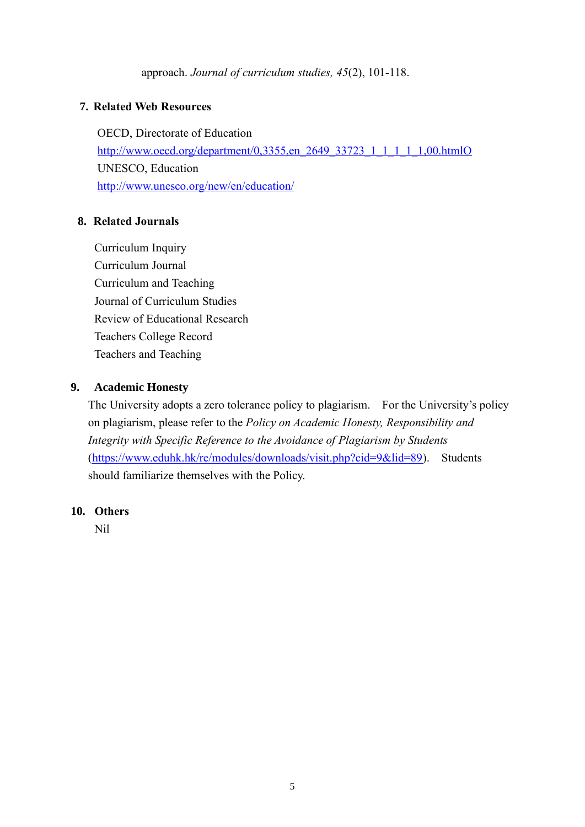approach. *Journal of curriculum studies, 45*(2), 101-118.

## **7. Related Web Resources**

OECD, Directorate of Education [http://www.oecd.org/department/0,3355,en\\_2649\\_33723\\_1\\_1\\_1\\_1\\_1,00.htmlO](http://www.oecd.org/department/0,3355,en_2649_33723_1_1_1_1_1,00.htmlO) UNESCO, Education <http://www.unesco.org/new/en/education/>

### **8. Related Journals**

Curriculum Inquiry Curriculum Journal Curriculum and Teaching Journal of Curriculum Studies Review of Educational Research Teachers College Record Teachers and Teaching

### **9. Academic Honesty**

The University adopts a zero tolerance policy to plagiarism. For the University's policy on plagiarism, please refer to the *Policy on Academic Honesty, Responsibility and Integrity with Specific Reference to the Avoidance of Plagiarism by Students*  [\(https://www.eduhk.hk/re/modules/downloads/visit.php?cid=9&lid=89\)](https://www.eduhk.hk/re/modules/downloads/visit.php?cid=9&lid=89). Students should familiarize themselves with the Policy.

### **10. Others**

Nil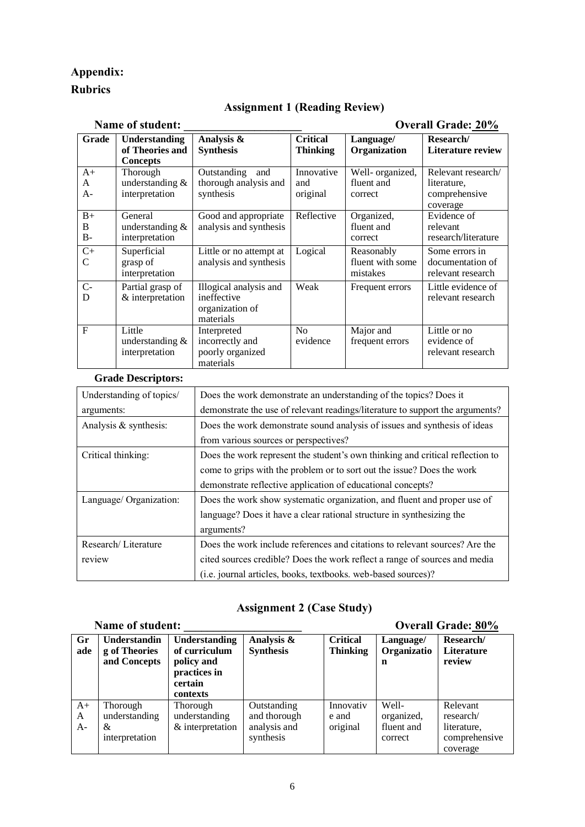## **Appendix:**

### **Rubrics**

### **Assignment 1 (Reading Review)**

| Name of student:          |                                                                  |                                                                                                                    |                                    | <b>Overall Grade: 20%</b>                  |                                                                |
|---------------------------|------------------------------------------------------------------|--------------------------------------------------------------------------------------------------------------------|------------------------------------|--------------------------------------------|----------------------------------------------------------------|
| Grade                     | <b>Understanding</b><br>of Theories and                          | Analysis &<br><b>Synthesis</b>                                                                                     | <b>Critical</b><br><b>Thinking</b> | Language/<br>Organization                  | Research/<br><b>Literature review</b>                          |
| $A+$<br>A<br>$A-$         | <b>Concepts</b><br>Thorough<br>understanding &<br>interpretation | Outstanding<br>and<br>thorough analysis and<br>synthesis                                                           | Innovative<br>and<br>original      | Well- organized,<br>fluent and<br>correct  | Relevant research/<br>literature,<br>comprehensive<br>coverage |
| $B+$<br>B<br>$B -$        | General<br>understanding &<br>interpretation                     | Good and appropriate<br>analysis and synthesis                                                                     | Reflective                         | Organized,<br>fluent and<br>correct        | Evidence of<br>relevant<br>research/literature                 |
| $C+$<br>$\mathbf C$       | Superficial<br>grasp of<br>interpretation                        | Little or no attempt at<br>analysis and synthesis                                                                  | Logical                            | Reasonably<br>fluent with some<br>mistakes | Some errors in<br>documentation of<br>relevant research        |
| $C -$<br>D                | Partial grasp of<br>& interpretation                             | Illogical analysis and<br>ineffective<br>organization of<br>materials                                              | Weak                               | Frequent errors                            | Little evidence of<br>relevant research                        |
| $\mathbf{F}$              | Little<br>understanding $&$<br>interpretation                    | Interpreted<br>incorrectly and<br>poorly organized<br>materials                                                    | No<br>evidence                     | Major and<br>frequent errors               | Little or no<br>evidence of<br>relevant research               |
| <b>Grade Descriptors:</b> |                                                                  |                                                                                                                    |                                    |                                            |                                                                |
| Understanding of topics/  |                                                                  | Does the work demonstrate an understanding of the topics? Does it                                                  |                                    |                                            |                                                                |
| arguments:                |                                                                  | demonstrate the use of relevant readings/literature to support the arguments?                                      |                                    |                                            |                                                                |
| Analysis & synthesis:     |                                                                  | Does the work demonstrate sound analysis of issues and synthesis of ideas<br>from various sources or perspectives? |                                    |                                            |                                                                |
| Critical thinking:        |                                                                  | Does the work represent the student's own thinking and critical reflection to                                      |                                    |                                            |                                                                |
|                           |                                                                  | come to grips with the problem or to sort out the issue? Does the work                                             |                                    |                                            |                                                                |

## **Assignment 2 (Case Study)**

demonstrate reflective application of educational concepts?

(i.e. journal articles, books, textbooks. web-based sources)?

language? Does it have a clear rational structure in synthesizing the

Does the work include references and citations to relevant sources? Are the cited sources credible? Does the work reflect a range of sources and media

Language/ Organization: Does the work show systematic organization, and fluent and proper use of

arguments?

Research/ Literature

review

#### **Name of student: \_\_\_\_\_\_\_\_\_\_\_\_\_\_\_\_\_\_\_\_ Overall Grade: 80%**

| Gr   | <b>Understandin</b> | Understanding    | Analysis &       | <b>Critical</b> | Language/   | Research/     |
|------|---------------------|------------------|------------------|-----------------|-------------|---------------|
| ade  | g of Theories       | of curriculum    | <b>Synthesis</b> | <b>Thinking</b> | Organizatio | Literature    |
|      | and Concepts        | policy and       |                  |                 | n           | review        |
|      |                     | practices in     |                  |                 |             |               |
|      |                     | certain          |                  |                 |             |               |
|      |                     | contexts         |                  |                 |             |               |
| $A+$ | Thorough            | Thorough         | Outstanding      | Innovativ       | Well-       | Relevant      |
| A    | understanding       | understanding    | and thorough     | e and           | organized,  | research/     |
| $A-$ | &                   | & interpretation | analysis and     | original        | fluent and  | literature,   |
|      | interpretation      |                  | synthesis        |                 | correct     | comprehensive |
|      |                     |                  |                  |                 |             | coverage      |